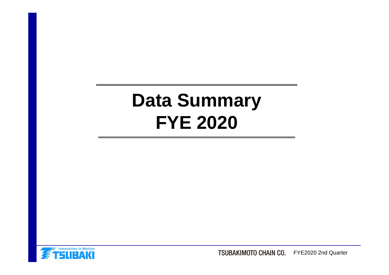# **Data Summary FYE 2020**



TSUBAKIMOTO CHAIN CO. FYE2020 2nd Quarter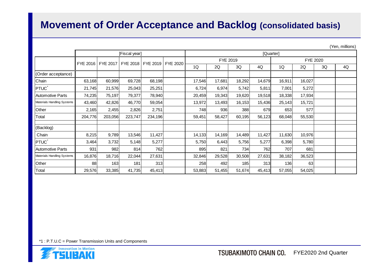## **Movement of Order Acceptance and Backlog (consolidated basis)**

(Yen, millions)

|                            | [Fiscal year] |         |                                |         |          |                             | [Quarter] |            |        |        |        |    |    |  |
|----------------------------|---------------|---------|--------------------------------|---------|----------|-----------------------------|-----------|------------|--------|--------|--------|----|----|--|
|                            |               |         | FYE 2017   FYE 2018   FYE 2019 |         |          | FYE 2019<br><b>FYE 2020</b> |           |            |        |        |        |    |    |  |
|                            | FYE 2016      |         |                                |         | FYE 2020 | 1Q                          | 2Q        | 3Q         | 4Q     | 1Q     | 2Q     | 3Q | 4Q |  |
| (Order acceptance)         |               |         |                                |         |          |                             |           |            |        |        |        |    |    |  |
| Chain                      | 63,168        | 60,999  | 69,728                         | 68,198  |          | 17,546                      | 17,681    | 18,292     | 14,679 | 16,911 | 16,027 |    |    |  |
| PTUC <sup>*</sup>          | 21,745        | 21,576  | 25,043                         | 25,251  |          | 6,724                       | 6,974     | 5,742      | 5,811  | 7,001  | 5,272  |    |    |  |
| <b>Automotive Parts</b>    | 74,235        | 75,197  | 79,377                         | 78,940  |          | 20,459                      | 19,343    | 19,620     | 19,518 | 18,338 | 17,934 |    |    |  |
| Materials Handling Systems | 43,460        | 42,826  | 46,770                         | 59,054  |          | 13,972                      | 13,493    | 16,153     | 15,436 | 25,143 | 15,721 |    |    |  |
| Other                      | 2,165         | 2,455   | 2,826                          | 2,751   |          | 748                         | 936       | 388        | 679    | 653    | 577    |    |    |  |
| Total                      | 204,776       | 203,056 | 223,747                        | 234,196 |          | 59,451                      | 58,427    | 60,195     | 56,123 | 68,048 | 55,530 |    |    |  |
| (Backlog)                  |               |         |                                |         |          |                             |           |            |        |        |        |    |    |  |
| Chain                      | 8,215         | 9,789   | 13,546                         | 11,427  |          | 14,133                      | 14,169    | 14,489     | 11,427 | 11,630 | 10,976 |    |    |  |
| PTUC <sup>*</sup>          | 3,464         | 3,732   | 5,148                          | 5,277   |          | 5,750                       | 6,443     | 5,756      | 5,277  | 6,398  | 5,780  |    |    |  |
| Automotive Parts           | 931           | 982     | 814                            | 762     |          | 895                         | 821       | 734        | 762    | 707    | 681    |    |    |  |
| Materials Handling Systems | 16,876        | 18,716  | 22,044                         | 27,631  |          | 32,846                      | 29,528    | 30,508     | 27,631 | 38,182 | 36,523 |    |    |  |
| Other                      | 88            | 163     | 181                            | 313     |          | 258                         | 492       | <b>185</b> | 313    | 136    | 63     |    |    |  |
| Total                      | 29,576        | 33,385  | 41,735                         | 45,413  |          | 53,883                      | 51,455    | 51,674     | 45,413 | 57,055 | 54,025 |    |    |  |

\*1 : P.T.U.C = Power Transmission Units and Components

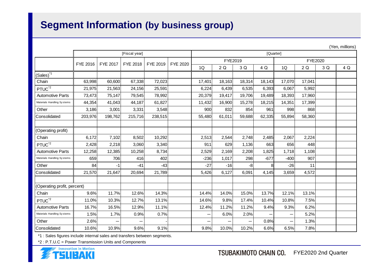# **Segment Information (by business group)**

|                             |               |          |          |          |                 |        |           |        |        |                |        |     | (Yen, millions) |  |
|-----------------------------|---------------|----------|----------|----------|-----------------|--------|-----------|--------|--------|----------------|--------|-----|-----------------|--|
|                             | [Fiscal year] |          |          |          |                 |        | [Quarter] |        |        |                |        |     |                 |  |
|                             | FYE 2016      | FYE 2017 | FYE 2018 | FYE 2019 | <b>FYE 2020</b> |        | FYE2019   |        |        | <b>FYE2020</b> |        |     |                 |  |
|                             |               |          |          |          |                 | 1Q     | 2Q        | 3 Q    | 4 Q    | 1Q             | 2Q     | 3 Q | 4 Q             |  |
| $(Sales)^*$ <sup>1</sup>    |               |          |          |          |                 |        |           |        |        |                |        |     |                 |  |
| Chain                       | 63,998        | 60,600   | 67,338   | 72,023   |                 | 17,401 | 18,163    | 18,314 | 18,143 | 17,070         | 17,041 |     |                 |  |
| PTUC <sup>*2</sup>          | 21,975        | 21,563   | 24,156   | 25,591   |                 | 6,224  | 6,439     | 6,535  | 6,393  | 6,067          | 5,992  |     |                 |  |
| <b>Automotive Parts</b>     | 73,473        | 75,147   | 79,545   | 78,992   |                 | 20,379 | 19,417    | 19,706 | 19,489 | 18,393         | 17,960 |     |                 |  |
| Materials Handling Systems  | 44,354        | 41,043   | 44,187   | 61,827   |                 | 11,432 | 16,900    | 15,278 | 18,215 | 14,351         | 17,399 |     |                 |  |
| Other                       | 3,186         | 3,001    | 3,331    | 3,548    |                 | 900    | 832       | 854    | 961    | 998            | 868    |     |                 |  |
| Consolidated                | 203,976       | 198,762  | 215,716  | 238,515  |                 | 55,480 | 61,011    | 59,688 | 62,335 | 55,894         | 58,360 |     |                 |  |
|                             |               |          |          |          |                 |        |           |        |        |                |        |     |                 |  |
| (Operating profit)          |               |          |          |          |                 |        |           |        |        |                |        |     |                 |  |
| Chain                       | 6,172         | 7,102    | 8,502    | 10,292   |                 | 2,513  | 2,544     | 2,748  | 2,485  | 2,067          | 2,224  |     |                 |  |
| PTUC <sup>*2</sup>          | 2,428         | 2,218    | 3,060    | 3,340    |                 | 911    | 629       | 1,136  | 663    | 656            | 448    |     |                 |  |
| <b>Automotive Parts</b>     | 12,258        | 12,385   | 10,258   | 8,734    |                 | 2,529  | 2,169     | 2,208  | 1,825  | 1,718          | 1,108  |     |                 |  |
| Materials Handling Systems  | 659           | 706      | 416      | 402      |                 | $-236$ | 1,017     | 298    | $-677$ | $-400$         | 907    |     |                 |  |
| Other                       | 84            | -1       | $-41$    | $-43$    |                 | $-27$  | $-16$     | -8     | 8      | $-26$          | 11     |     |                 |  |
| Consolidated                | 21,570        | 21,647   | 20,694   | 21,789   |                 | 5,426  | 6,127     | 6,091  | 4,145  | 3,659          | 4,572  |     |                 |  |
|                             |               |          |          |          |                 |        |           |        |        |                |        |     |                 |  |
| (Operating profit, percent) |               |          |          |          |                 |        |           |        |        |                |        |     |                 |  |
| Chain                       | 9.6%          | 11.7%    | 12.6%    | 14.3%    |                 | 14.4%  | 14.0%     | 15.0%  | 13.7%  | 12.1%          | 13.1%  |     |                 |  |
| PTUC <sup>'2</sup>          | 11.0%         | 10.3%    | 12.7%    | 13.1%    |                 | 14.6%  | 9.8%      | 17.4%  | 10.4%  | 10.8%          | 7.5%   |     |                 |  |
| <b>Automotive Parts</b>     | 16.7%         | 16.5%    | 12.9%    | 11.1%    |                 | 12.4%  | 11.2%     | 11.2%  | 9.4%   | 9.3%           | 6.2%   |     |                 |  |
| Materials Handling Systems  | 1.5%          | 1.7%     | 0.9%     | 0.7%     |                 |        | 6.0%      | 2.0%   |        | -              | 5.2%   |     |                 |  |
| Other                       | 2.6%          |          |          |          |                 |        |           | —      | 0.8%   |                | 1.3%   |     |                 |  |
| Consolidated                | 10.6%         | 10.9%    | 9.6%     | 9.1%     |                 | 9.8%   | 10.0%     | 10.2%  | 6.6%   | 6.5%           | 7.8%   |     |                 |  |

\*1 : Sales figures include internal sales and transfers between segments.

\*2 : P.T.U.C = Power Transmission Units and Components

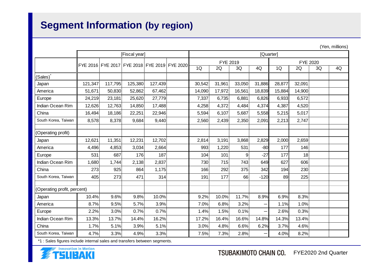# **Segment Information (by region)**

|                             |                                              |         |         |         |  | (Yen, millions) |           |        |        |                 |        |    |    |  |
|-----------------------------|----------------------------------------------|---------|---------|---------|--|-----------------|-----------|--------|--------|-----------------|--------|----|----|--|
|                             | [Fiscal year]                                |         |         |         |  |                 | [Quarter] |        |        |                 |        |    |    |  |
|                             | FYE 2016 FYE 2017 FYE 2018 FYE 2019 FYE 2020 |         |         |         |  |                 | FYE 2019  |        |        | <b>FYE 2020</b> |        |    |    |  |
|                             |                                              |         |         |         |  | 1Q              | 2Q        | 3Q     | 4Q     | 1Q              | 2Q     | 3Q | 4Q |  |
| (Sales)                     |                                              |         |         |         |  |                 |           |        |        |                 |        |    |    |  |
| Japan                       | 121,347                                      | 117,795 | 125,380 | 127,439 |  | 30,542          | 31,961    | 33,050 | 31,886 | 28,877          | 32,091 |    |    |  |
| America                     | 51,671                                       | 50,830  | 52,862  | 67,462  |  | 14,090          | 17,972    | 16,561 | 18,839 | 15,884          | 14,900 |    |    |  |
| Europe                      | 24,219                                       | 23,181  | 25,620  | 27,779  |  | 7,337           | 6,735     | 6,881  | 6,826  | 6,933           | 6,572  |    |    |  |
| Indian Ocean Rim            | 12,626                                       | 12,763  | 14,850  | 17,488  |  | 4,258           | 4,372     | 4,484  | 4,374  | 4,387           | 4,520  |    |    |  |
| China                       | 16,494                                       | 18,186  | 22,251  | 22,946  |  | 5,594           | 6,107     | 5,687  | 5,558  | 5,215           | 5,017  |    |    |  |
| South Korea, Taiwan         | 8,578                                        | 8,378   | 9,684   | 9,440   |  | 2,560           | 2,439     | 2,350  | 2,091  | 2,213           | 2,747  |    |    |  |
|                             |                                              |         |         |         |  |                 |           |        |        |                 |        |    |    |  |
| (Operating profit)          |                                              |         |         |         |  |                 |           |        |        |                 |        |    |    |  |
| Japan                       | 12,621                                       | 11,351  | 12,231  | 12,702  |  | 2,814           | 3,191     | 3,868  | 2,829  | 2,000           | 2,659  |    |    |  |
| America                     | 4,496                                        | 4,853   | 3,034   | 2,664   |  | 993             | 1,220     | 531    | $-80$  | 177             | 146    |    |    |  |
| Europe                      | 531                                          | 687     | 176     | 187     |  | 104             | 101       | 9      | $-27$  | 177             | 18     |    |    |  |
| Indian Ocean Rim            | 1,680                                        | 1,744   | 2,138   | 2,837   |  | 730             | 715       | 743    | 649    | 627             | 606    |    |    |  |
| China                       | 273                                          | 925     | 864     | 1,175   |  | 166             | 292       | 375    | 342    | 194             | 230    |    |    |  |
| South Korea, Taiwan         | 405                                          | 273     | 471     | 314     |  | 191             | 177       | 66     | $-120$ | 89              | 225    |    |    |  |
|                             |                                              |         |         |         |  |                 |           |        |        |                 |        |    |    |  |
| (Operating profit, percent) |                                              |         |         |         |  |                 |           |        |        |                 |        |    |    |  |
| Japan                       | 10.4%                                        | 9.6%    | 9.8%    | 10.0%   |  | 9.2%            | 10.0%     | 11.7%  | 8.9%   | 6.9%            | 8.3%   |    |    |  |
| America                     | 8.7%                                         | 9.5%    | 5.7%    | 3.9%    |  | 7.0%            | 6.8%      | 3.2%   |        | 1.1%            | 1.0%   |    |    |  |
| Europe                      | 2.2%                                         | 3.0%    | 0.7%    | 0.7%    |  | 1.4%            | 1.5%      | 0.1%   |        | 2.6%            | 0.3%   |    |    |  |
| Indian Ocean Rim            | 13.3%                                        | 13.7%   | 14.4%   | 16.2%   |  | 17.2%           | 16.4%     | 16.6%  | 14.8%  | 14.3%           | 13.4%  |    |    |  |
| China                       | 1.7%                                         | 5.1%    | 3.9%    | 5.1%    |  | 3.0%            | 4.8%      | 6.6%   | 6.2%   | 3.7%            | 4.6%   |    |    |  |
| South Korea, Taiwan         | 4.7%                                         | 3.3%    | 4.9%    | 3.3%    |  | 7.5%            | 7.3%      | 2.8%   |        | 4.0%            | 8.2%   |    |    |  |

\*1 : Sales figures include internal sales and transfers between segments.

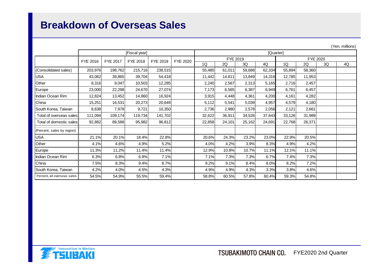## **Breakdown of Overseas Sales**

|                             |          |          |               |          |                 |           |                      |        |        |        |        |    | (Yen, millions) |  |
|-----------------------------|----------|----------|---------------|----------|-----------------|-----------|----------------------|--------|--------|--------|--------|----|-----------------|--|
|                             |          |          | [Fiscal year] |          |                 | [Quarter] |                      |        |        |        |        |    |                 |  |
|                             | FYE 2016 | FYE 2017 | FYE 2018      | FYE 2019 | <b>FYE 2020</b> |           | FYE 2019<br>FYE 2020 |        |        |        |        |    |                 |  |
|                             |          |          |               |          |                 | 1Q        | 2Q                   | 3Q     | 4Q     | 1Q     | 2Q     | 3Q | 4Q              |  |
| (Consolidated sales)        | 203,976  | 198,762  | 215,716       | 238,515  |                 | 55,480    | 61,011               | 59,688 | 62,334 | 55,894 | 58,360 |    |                 |  |
| <b>USA</b>                  | 43,062   | 39,865   | 39,704        | 54,418   |                 | 11,442    | 14,811               | 13,849 | 14,316 | 12,785 | 11,953 |    |                 |  |
| Other                       | 8,316    | 9,047    | 10,503        | 12,285   |                 | 2,240     | 2,567                | 2,313  | 5,165  | 2,716  | 2,457  |    |                 |  |
| Europe                      | 23,000   | 22,298   | 24,670        | 27,074   |                 | 7.173     | 6,565                | 6,387  | 6,949  | 6,761  | 6,457  |    |                 |  |
| Indian Ocean Rim            | 12,824   | 13,452   | 14,860        | 16,924   |                 | 3,915     | 4,448                | 4,361  | 4,200  | 4,161  | 4,282  |    |                 |  |
| China                       | 15,251   | 16,531   | 20,273        | 20,649   |                 | 5,112     | 5,541                | 5,039  | 4,957  | 4,579  | 4,180  |    |                 |  |
| South Korea, Taiwan         | 8,638    | 7,978    | 9,721         | 10,350   |                 | 2,736     | 2,980                | 2,578  | 2,056  | 2,121  | 2,661  |    |                 |  |
| Total of overseas sales     | 111,094  | 109,174  | 119,734       | 141,702  |                 | 32,622    | 36,911               | 34,526 | 37,643 | 33,126 | 31,989 |    |                 |  |
| Total of domestic sales     | 92,882   | 89,588   | 95,982        | 96,812   |                 | 22,858    | 24,101               | 25,162 | 24,691 | 22,768 | 26,371 |    |                 |  |
| (Percent, sales by region)  |          |          |               |          |                 |           |                      |        |        |        |        |    |                 |  |
| <b>USA</b>                  | 21.1%    | 20.1%    | 18.4%         | 22.8%    |                 | 20.6%     | 24.3%                | 23.2%  | 23.0%  | 22.9%  | 20.5%  |    |                 |  |
| Other                       | 4.1%     | 4.6%     | 4.9%          | 5.2%     |                 | 4.0%      | 4.2%                 | 3.9%   | 8.3%   | 4.9%   | 4.2%   |    |                 |  |
| Europe                      | 11.3%    | 11.2%    | 11.4%         | 11.4%    |                 | 12.9%     | 10.8%                | 10.7%  | 11.1%  | 12.1%  | 11.1%  |    |                 |  |
| Indian Ocean Rim            | 6.3%     | 6.8%     | 6.9%          | 7.1%     |                 | 7.1%      | 7.3%                 | 7.3%   | 6.7%   | 7.4%   | 7.3%   |    |                 |  |
| China                       | 7.5%     | 8.3%     | 9.4%          | 8.7%     |                 | 9.2%      | 9.1%                 | 8.4%   | 8.0%   | 8.2%   | 7.2%   |    |                 |  |
| South Korea, Taiwan         | 4.2%     | 4.0%     | 4.5%          | 4.3%     |                 | 4.9%      | 4.9%                 | 4.3%   | 3.3%   | 3.8%   | 4.6%   |    |                 |  |
| Percent, all overseas sales | 54.5%    | 54.9%    | 55.5%         | 59.4%    |                 | 58.8%     | 60.5%                | 57.8%  | 60.4%  | 59.3%  | 54.8%  |    |                 |  |